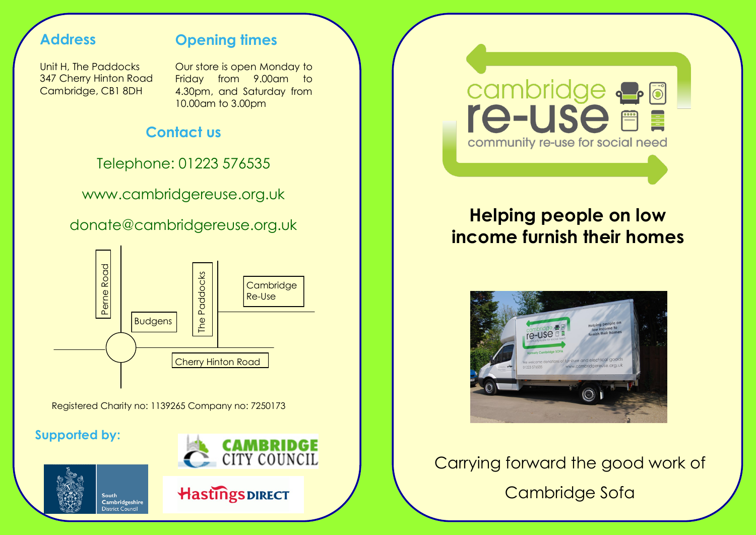# **Address**

# **Opening times**

Unit H, The Paddocks 347 Cherry Hinton Road Cambridge, CB1 8DH

Our store is open Monday to Friday from 9.00am to 4.30pm, and Saturday from 10.00am to 3.00pm

# **Contact us**

Telephone: 01223 576535

www.cambridgereuse.org.uk

donate@cambridgereuse.org.uk



Registered Charity no: 1139265 Company no: 7250173

# **Supported by:**









# **Helping people on low income furnish their homes**



# Carrying forward the good work of

Cambridge Sofa